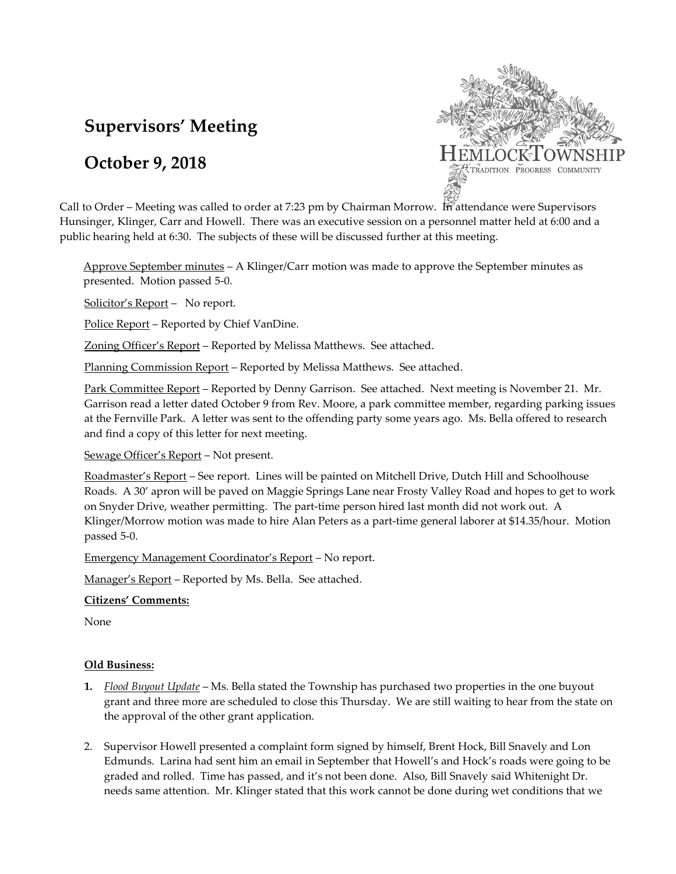# **Supervisors' Meeting**

# **October 9, 2018**



Call to Order – Meeting was called to order at 7:23 pm by Chairman Morrow. In attendance were Supervisors Hunsinger, Klinger, Carr and Howell. There was an executive session on a personnel matter held at 6:00 and a public hearing held at 6:30. The subjects of these will be discussed further at this meeting.

Approve September minutes – A Klinger/Carr motion was made to approve the September minutes as presented. Motion passed 5-0.

Solicitor's Report - No report.

Police Report – Reported by Chief VanDine.

Zoning Officer's Report – Reported by Melissa Matthews. See attached.

Planning Commission Report – Reported by Melissa Matthews. See attached.

Park Committee Report – Reported by Denny Garrison. See attached. Next meeting is November 21. Mr. Garrison read a letter dated October 9 from Rev. Moore, a park committee member, regarding parking issues at the Fernville Park. A letter was sent to the offending party some years ago. Ms. Bella offered to research and find a copy of this letter for next meeting.

Sewage Officer's Report – Not present.

Roadmaster's Report – See report. Lines will be painted on Mitchell Drive, Dutch Hill and Schoolhouse Roads. A 30' apron will be paved on Maggie Springs Lane near Frosty Valley Road and hopes to get to work on Snyder Drive, weather permitting. The part-time person hired last month did not work out. A Klinger/Morrow motion was made to hire Alan Peters as a part-time general laborer at \$14.35/hour. Motion passed 5-0.

Emergency Management Coordinator's Report – No report.

Manager's Report – Reported by Ms. Bella. See attached.

#### **Citizens' Comments:**

None

### **Old Business:**

- **1.** *Flood Buyout Update* Ms. Bella stated the Township has purchased two properties in the one buyout grant and three more are scheduled to close this Thursday. We are still waiting to hear from the state on the approval of the other grant application.
- 2. Supervisor Howell presented a complaint form signed by himself, Brent Hock, Bill Snavely and Lon Edmunds. Larina had sent him an email in September that Howell's and Hock's roads were going to be graded and rolled. Time has passed, and it's not been done. Also, Bill Snavely said Whitenight Dr. needs same attention. Mr. Klinger stated that this work cannot be done during wet conditions that we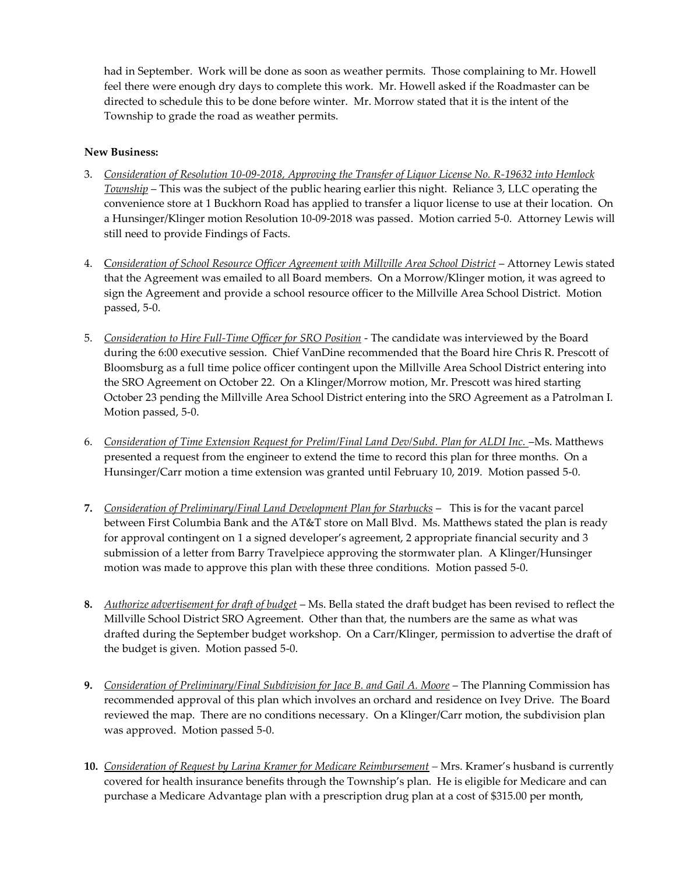had in September. Work will be done as soon as weather permits. Those complaining to Mr. Howell feel there were enough dry days to complete this work. Mr. Howell asked if the Roadmaster can be directed to schedule this to be done before winter. Mr. Morrow stated that it is the intent of the Township to grade the road as weather permits.

## **New Business:**

- 3. *Consideration of Resolution 10-09-2018, Approving the Transfer of Liquor License No. R-19632 into Hemlock Township* – This was the subject of the public hearing earlier this night. Reliance 3, LLC operating the convenience store at 1 Buckhorn Road has applied to transfer a liquor license to use at their location. On a Hunsinger/Klinger motion Resolution 10-09-2018 was passed. Motion carried 5-0. Attorney Lewis will still need to provide Findings of Facts.
- 4. C*onsideration of School Resource Officer Agreement with Millville Area School District* Attorney Lewis stated that the Agreement was emailed to all Board members. On a Morrow/Klinger motion, it was agreed to sign the Agreement and provide a school resource officer to the Millville Area School District. Motion passed, 5-0.
- 5. *Consideration to Hire Full-Time Officer for SRO Position* The candidate was interviewed by the Board during the 6:00 executive session. Chief VanDine recommended that the Board hire Chris R. Prescott of Bloomsburg as a full time police officer contingent upon the Millville Area School District entering into the SRO Agreement on October 22. On a Klinger/Morrow motion, Mr. Prescott was hired starting October 23 pending the Millville Area School District entering into the SRO Agreement as a Patrolman I. Motion passed, 5-0.
- 6. *Consideration of Time Extension Request for Prelim/Final Land Dev/Subd. Plan for ALDI Inc.* –Ms. Matthews presented a request from the engineer to extend the time to record this plan for three months. On a Hunsinger/Carr motion a time extension was granted until February 10, 2019. Motion passed 5-0.
- **7.** *Consideration of Preliminary/Final Land Development Plan for Starbucks* This is for the vacant parcel between First Columbia Bank and the AT&T store on Mall Blvd. Ms. Matthews stated the plan is ready for approval contingent on 1 a signed developer's agreement, 2 appropriate financial security and 3 submission of a letter from Barry Travelpiece approving the stormwater plan. A Klinger/Hunsinger motion was made to approve this plan with these three conditions. Motion passed 5-0.
- **8.** *Authorize advertisement for draft of budget* Ms. Bella stated the draft budget has been revised to reflect the Millville School District SRO Agreement. Other than that, the numbers are the same as what was drafted during the September budget workshop. On a Carr/Klinger, permission to advertise the draft of the budget is given. Motion passed 5-0.
- **9.** *Consideration of Preliminary/Final Subdivision for Jace B. and Gail A. Moore* The Planning Commission has recommended approval of this plan which involves an orchard and residence on Ivey Drive. The Board reviewed the map. There are no conditions necessary. On a Klinger/Carr motion, the subdivision plan was approved. Motion passed 5-0.
- **10.** *Consideration of Request by Larina Kramer for Medicare Reimbursement –* Mrs. Kramer's husband is currently covered for health insurance benefits through the Township's plan. He is eligible for Medicare and can purchase a Medicare Advantage plan with a prescription drug plan at a cost of \$315.00 per month,